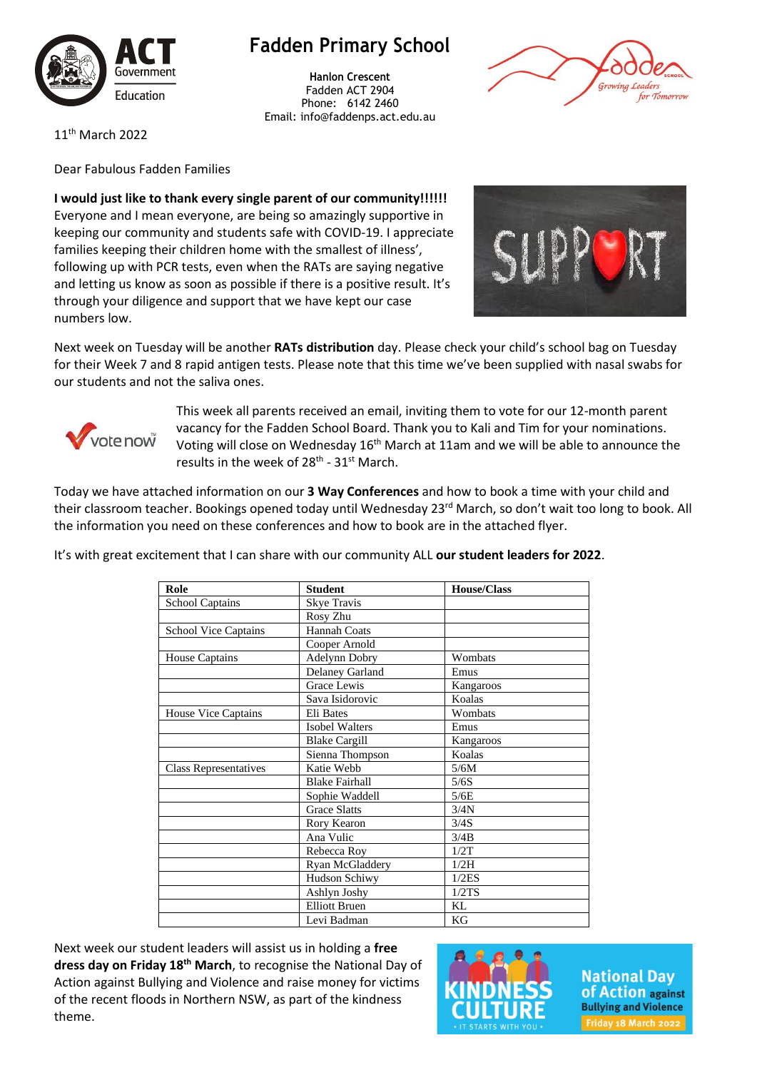

## **Fadden Primary School**

**Hanlon Crescent** Fadden ACT 2904 Phone: 6142 2460 Email: info@faddenps.act.edu.au



11th March 2022

Dear Fabulous Fadden Families

**I would just like to thank every single parent of our community!!!!!!** Everyone and I mean everyone, are being so amazingly supportive in keeping our community and students safe with COVID-19. I appreciate families keeping their children home with the smallest of illness', following up with PCR tests, even when the RATs are saying negative and letting us know as soon as possible if there is a positive result. It's through your diligence and support that we have kept our case numbers low.



Next week on Tuesday will be another **RATs distribution** day. Please check your child's school bag on Tuesday for their Week 7 and 8 rapid antigen tests. Please note that this time we've been supplied with nasal swabs for our students and not the saliva ones.



This week all parents received an email, inviting them to vote for our 12-month parent vacancy for the Fadden School Board. Thank you to Kali and Tim for your nominations. Voting will close on Wednesday 16<sup>th</sup> March at 11am and we will be able to announce the results in the week of 28<sup>th</sup> - 31<sup>st</sup> March.

Today we have attached information on our **3 Way Conferences** and how to book a time with your child and their classroom teacher. Bookings opened today until Wednesday 23<sup>rd</sup> March, so don't wait too long to book. All the information you need on these conferences and how to book are in the attached flyer.

It's with great excitement that I can share with our community ALL **our student leaders for 2022**.

| Role                         | <b>Student</b>         | <b>House/Class</b> |
|------------------------------|------------------------|--------------------|
| <b>School Captains</b>       | <b>Skye Travis</b>     |                    |
|                              | Rosy Zhu               |                    |
| <b>School Vice Captains</b>  | Hannah Coats           |                    |
|                              | Cooper Arnold          |                    |
| <b>House Captains</b>        | Adelynn Dobry          | Wombats            |
|                              | <b>Delaney Garland</b> | Emus               |
|                              | <b>Grace Lewis</b>     | Kangaroos          |
|                              | Sava Isidorovic        | Koalas             |
| <b>House Vice Captains</b>   | Eli Bates              | Wombats            |
|                              | <b>Isobel Walters</b>  | Emus               |
|                              | <b>Blake Cargill</b>   | Kangaroos          |
|                              | Sienna Thompson        | Koalas             |
| <b>Class Representatives</b> | Katie Webb             | 5/6M               |
|                              | <b>Blake Fairhall</b>  | 5/6S               |
|                              | Sophie Waddell         | 5/6E               |
|                              | <b>Grace Slatts</b>    | 3/4N               |
|                              | Rory Kearon            | 3/4S               |
|                              | Ana Vulic              | 3/4B               |
|                              | Rebecca Roy            | 1/2T               |
|                              | Ryan McGladdery        | 1/2H               |
|                              | Hudson Schiwy          | 1/2ES              |
|                              | Ashlyn Joshy           | 1/2TS              |
|                              | <b>Elliott Bruen</b>   | KL                 |
|                              | Levi Badman            | KG                 |

Next week our student leaders will assist us in holding a **free dress day on Friday 18th March**, to recognise the National Day of Action against Bullying and Violence and raise money for victims of the recent floods in Northern NSW, as part of the kindness theme.



**National Day of Action against Bullying and Violence** Friday 18 March 2022